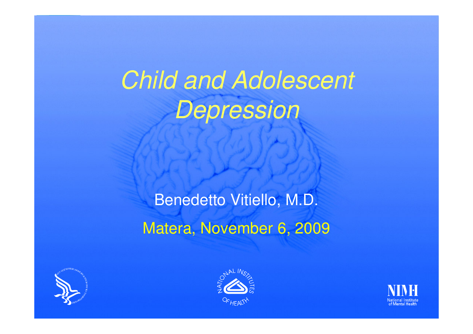*Child and Adolescent Depression*

Benedetto Vitiello, M.D. Matera, November 6, 2009





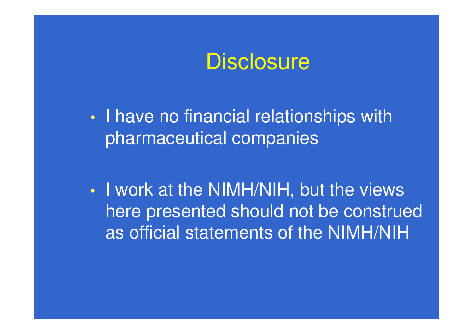

 $\bullet$ • I have no financial relationships with pharmaceutical companies

 $\bullet$ • I work at the NIMH/NIH, but the views here presented should not be construed as official statements of the NIMH/NIH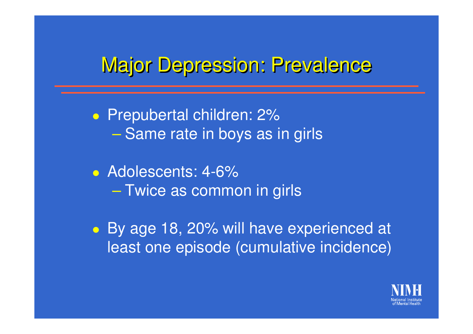#### **Major Depression: Prevalence**

**• Prepubertal children: 2%**  $\mathcal{L}_{\mathcal{A}}$  , the state of the state of the state  $\mathcal{L}_{\mathcal{A}}$ – Same rate in boys as in girls

• Adolescents: 4-6%  $\mathcal{L}_{\mathcal{A}}$  , the state of the state of the state  $\mathcal{L}_{\mathcal{A}}$ – Twice as common in girls

 By age 18, 20% will have experienced at least one episode (cumulative incidence)

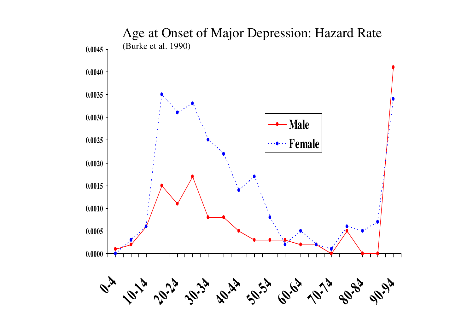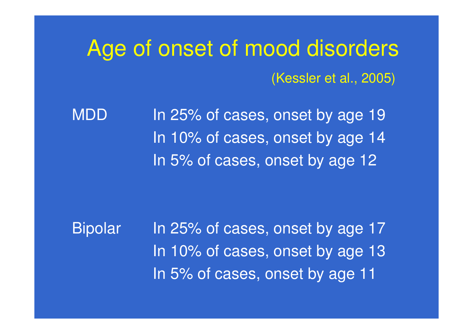# Age of onset of mood disorders (Kessler et al., 2005)

MDDD ln 25% of cases, onset by age 19 In 10% of cases, onset by age 14 In 5% of cases, onset by age 12

Bipolar In 25% of cases, onset by age 17 In 10% of cases, onset by age 13 In 5% of cases, onset by age 11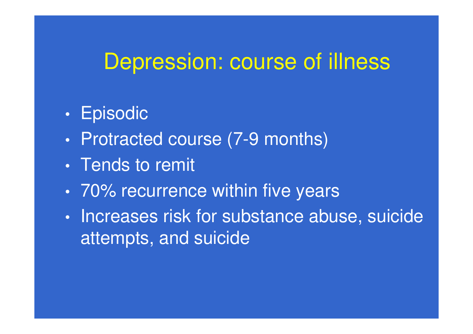### Depression: course of illness

- $\bullet$ • Episodic
- $\bullet$ • Protracted course (7-9 months)
- Tends to remit
- 70% recurrence within five years
- $\bullet$ • Increases risk for substance abuse, suicide attempts, and suicide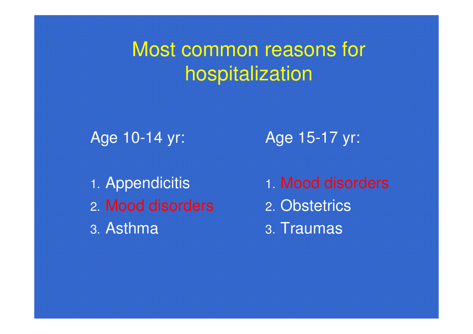## Most common reasons for hospitalization

Age 10-14 yr:

1. Appendicitis 2. Mood disorders 3. Asthma

Age 15-17 yr:

1. Mood disorders 2. Obstetrics 3. Traumas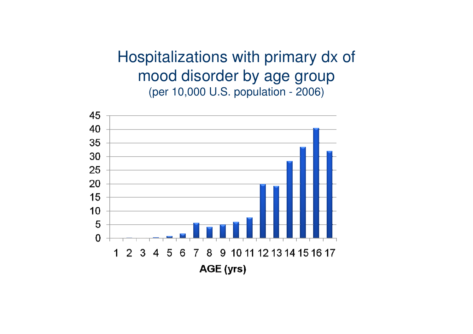Hospitalizations with primary dx of mood disorder by age group (per 10,000 U.S. population - 2006)

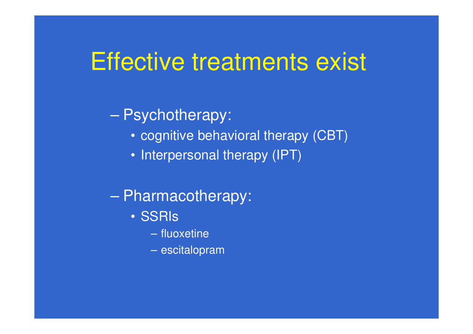## Effective treatments exist

#### en al control de la control de Psychotherapy:

- cognitive behavioral therapy (CBT)
- Interpersonal therapy (IPT)
- en al control de la control de Pharmacotherapy:
	- SSRIs
		- fluoxetine
		- escitalopram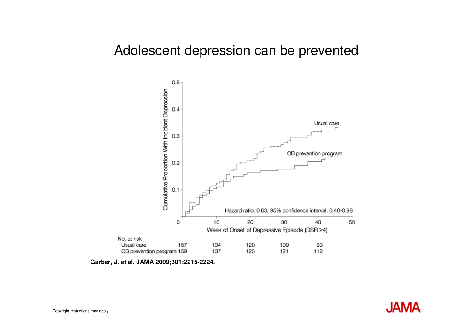#### Adolescent depression can be prevented



**Garber, J. et al. JAMA 2009;301:2215-2224.**

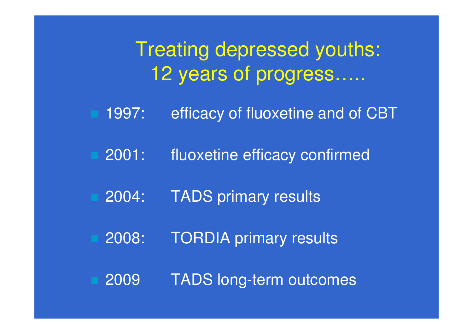Treating depressed youths: 12 years of progress…..

- 1997: efficacy of fluoxetine and of CBT
- 2001: fluoxetine efficacy confirmed
- 2004: TADS primary results
- 2008: TORDIA primary results
	- 2009 TADS long-term outcomes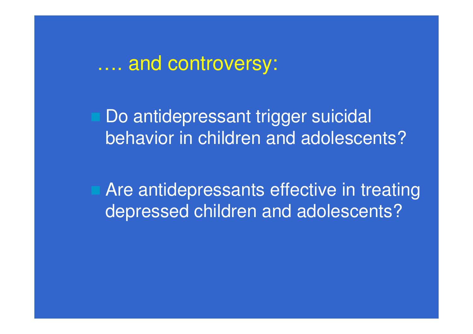…. and controversy:

Do antidepressant trigger suicidal behavior in children and adolescents?

 Are antidepressants effective in treating depressed children and adolescents?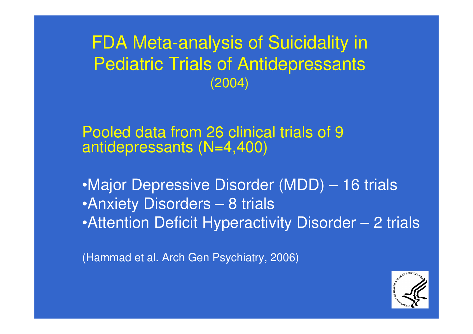FDA Meta-analysis of Suicidality in Pediatric Trials of Antidepressants (2004)

Pooled data from 26 clinical trials of 9 antidepressants (N=4,400)

•Major Depressive Disorder (MDD) – 16 trials •Anxiety Disorders – 8 trials •Attention Deficit Hyperactivity Disorder – 2 trials

(Hammad et al. Arch Gen Psychiatry, 2006)

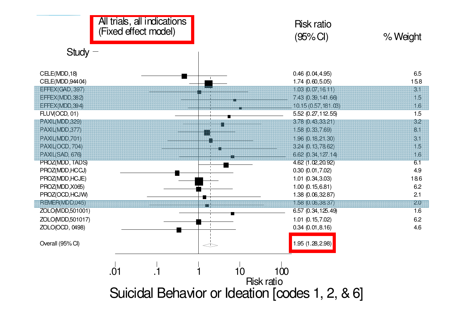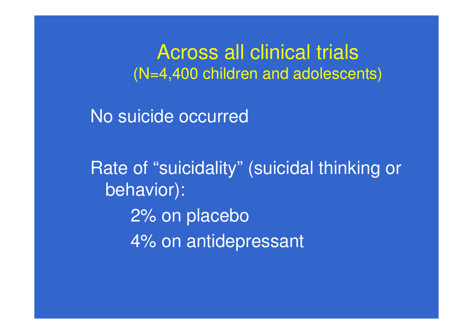Across all clinical trials (N=4,400 children and adolescents)

No suicide occurred

Rate of "suicidality" (suicidal thinking or behavior): 2% on placebo 4% on antidepressant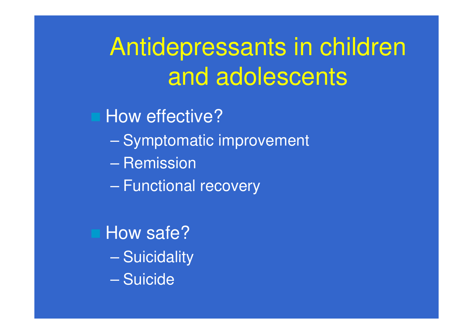# Antidepressants in children and adolescents

How effective?

- Symptomatic improvement
- Remission
- en al control de la control de – Functional recovery

 How safe? – Suicidality – Suicide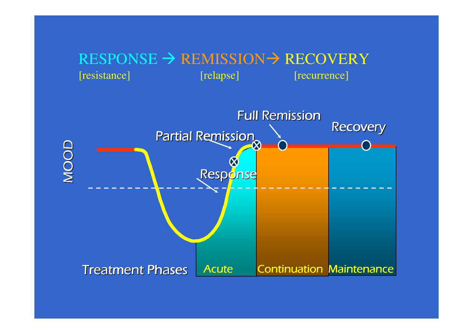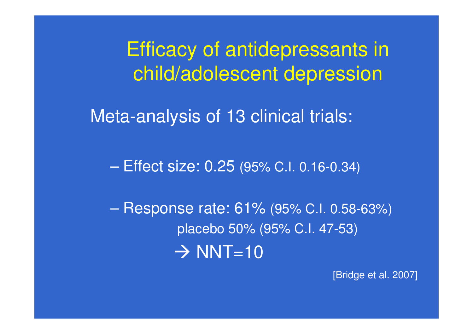Efficacy of antidepressants in child/adolescent depression

Meta-analysis of 13 clinical trials:

en al control de la control de Effect size: 0.25 (95% C.I. 0.16-0.34)

en al control de la control de Response rate: 61% (95% C.I. 0.58-63%) placebo 50% (95% C.I. 47-53)  $\rightarrow$  NNT=10

[Bridge et al. 2007]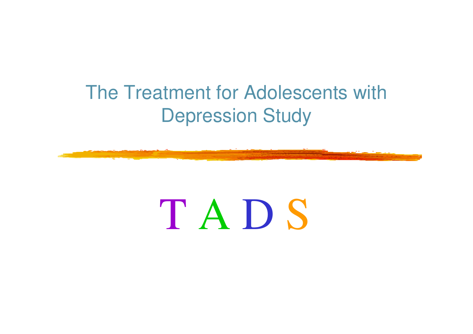## The Treatment for Adolescents with Depression Study



# T A D S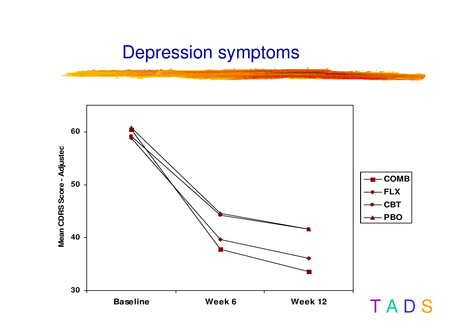#### Depression symptoms

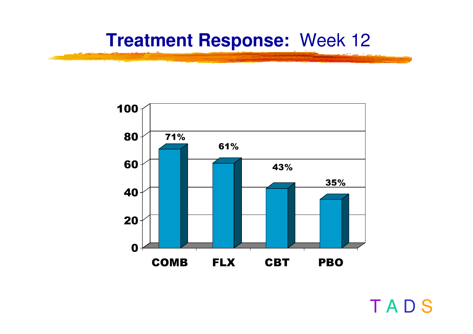#### **Treatment Response:** Week 12



T A D S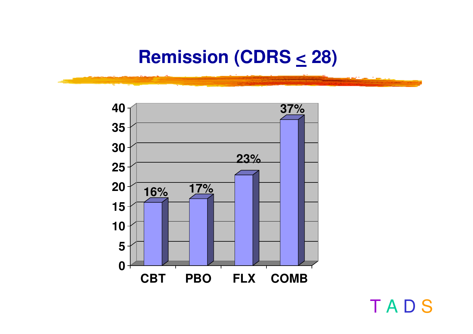#### **Remission (CDRS <sup>&</sup>lt; 28)**



T A D S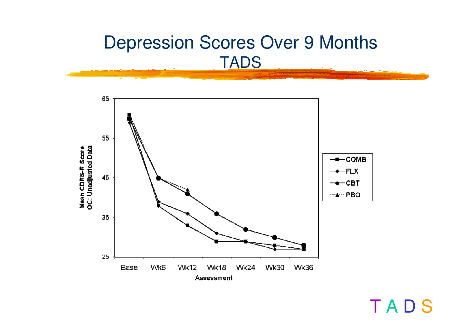#### Depression Scores Over 9 Months T A D S



TADS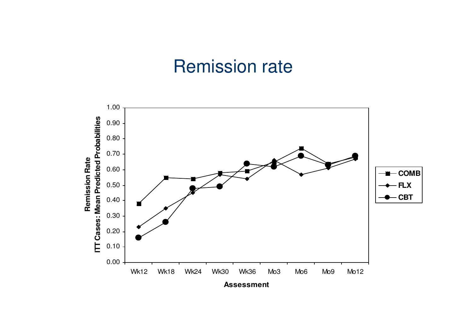#### Remission rate

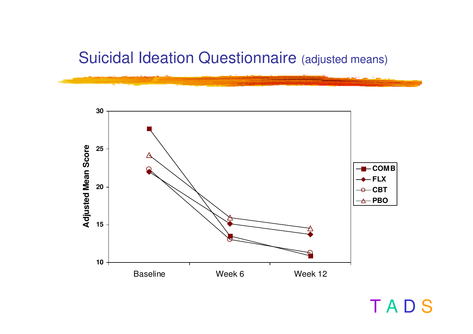#### Suicidal Ideation Questionnaire (adjusted means)



T A D S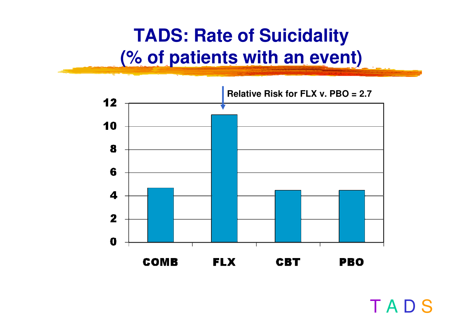### **TADS: Rate of Suicidality (% of patients with an event)**



T A D S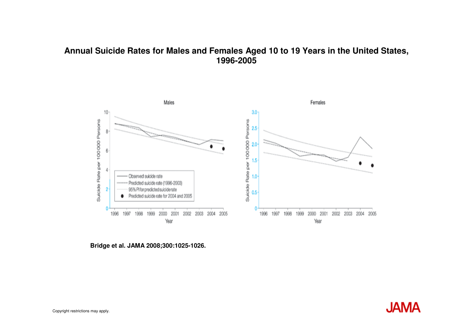#### **Annual Suicide Rates for Males and Females Aged 10 to 19 Years in the United States, 1996-2005**



**Bridge et al. JAMA 2008;300:1025-1026.**

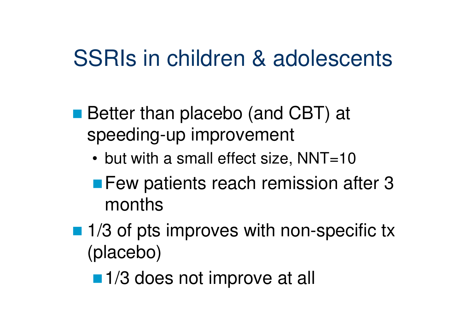# SSRIs in children & adolescents

- Better than placebo (and CBT) at speeding-up improvement
	- but with a small effect size, NNT=10
	- **E** Few patients reach remission after 3 months
- 1/3 of pts improves with non-specific tx (placebo)
	- 1/3 does not improve at all